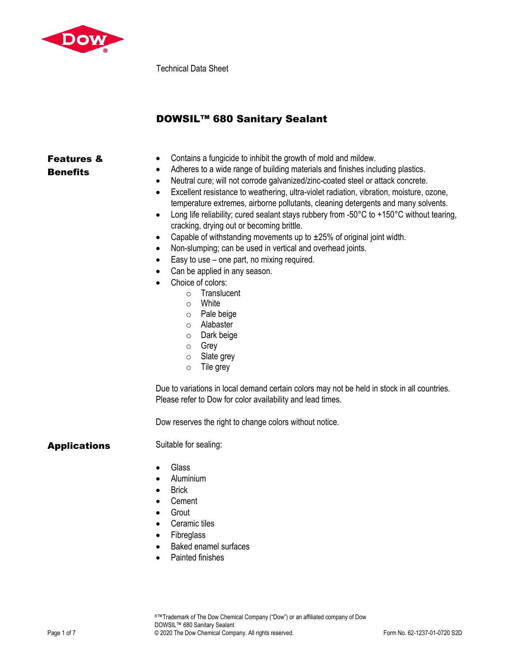

Technical Data Sheet

# DOWSIL™ 680 Sanitary Sealant

## Features & **Benefits**

- Contains a fungicide to inhibit the growth of mold and mildew.
- Adheres to a wide range of building materials and finishes including plastics.
- Neutral cure; will not corrode galvanized/zinc-coated steel or attack concrete.
- Excellent resistance to weathering, ultra-violet radiation, vibration, moisture, ozone, temperature extremes, airborne pollutants, cleaning detergents and many solvents.
- Long life reliability; cured sealant stays rubbery from -50°C to +150°C without tearing, cracking, drying out or becoming brittle.
- Capable of withstanding movements up to  $\pm 25%$  of original joint width.
- Non-slumping; can be used in vertical and overhead joints.
- Easy to use one part, no mixing required.
- Can be applied in any season.
- Choice of colors:
	- o Translucent
	- o White
	- o Pale beige
	- o Alabaster
	- o Dark beige
	- o Grey
	- o Slate grey
	- o Tile grey

Due to variations in local demand certain colors may not be held in stock in all countries. Please refer to Dow for color availability and lead times.

Dow reserves the right to change colors without notice.

### Applications Suitable for sealing:

- Glass
- Aluminium
- Brick
- Cement
- Grout
- Ceramic tiles
- Fibreglass
- Baked enamel surfaces
- Painted finishes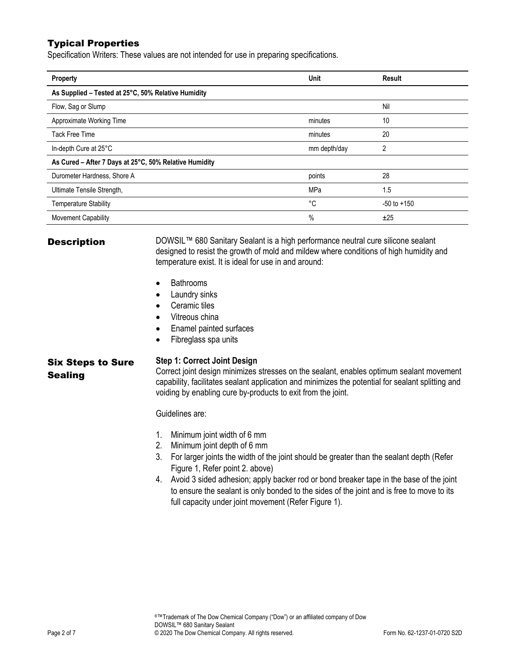# Typical Properties

Specification Writers: These values are not intended for use in preparing specifications.

| Property                                               | <b>Unit</b>  | Result          |
|--------------------------------------------------------|--------------|-----------------|
| As Supplied - Tested at 25°C, 50% Relative Humidity    |              |                 |
| Flow, Sag or Slump                                     |              | Nil             |
| Approximate Working Time                               | minutes      | 10              |
| Tack Free Time                                         | minutes      | 20              |
| In-depth Cure at 25°C                                  | mm depth/day | 2               |
| As Cured - After 7 Days at 25°C, 50% Relative Humidity |              |                 |
| Durometer Hardness, Shore A                            | points       | 28              |
| Ultimate Tensile Strength,                             | <b>MPa</b>   | 1.5             |
| <b>Temperature Stability</b>                           | °C           | $-50$ to $+150$ |
| Movement Capability                                    | $\%$         | ±25             |

**Description** DOWSIL™ 680 Sanitary Sealant is a high performance neutral cure silicone sealant designed to resist the growth of mold and mildew where conditions of high humidity and temperature exist. It is ideal for use in and around:

- Bathrooms
- Laundry sinks
- Ceramic tiles
- Vitreous china
- Enamel painted surfaces
- Fibreglass spa units

# Six Steps to Sure

**Sealing** 

#### **Step 1: Correct Joint Design**

Correct joint design minimizes stresses on the sealant, enables optimum sealant movement capability, facilitates sealant application and minimizes the potential for sealant splitting and voiding by enabling cure by-products to exit from the joint.

Guidelines are:

- 1. Minimum joint width of 6 mm
- 2. Minimum joint depth of 6 mm
- 3. For larger joints the width of the joint should be greater than the sealant depth (Refer Figure 1, Refer point 2. above)
- 4. Avoid 3 sided adhesion; apply backer rod or bond breaker tape in the base of the joint to ensure the sealant is only bonded to the sides of the joint and is free to move to its full capacity under joint movement (Refer Figure 1).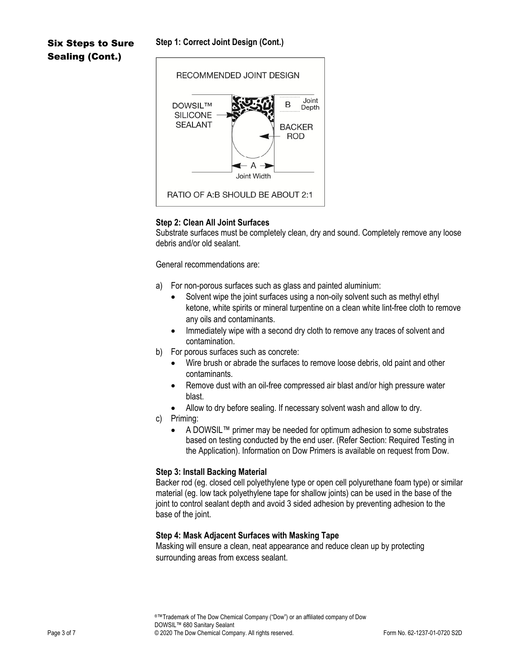#### **Step 1: Correct Joint Design (Cont.)**

# Six Steps to Sure Sealing (Cont.)



#### **Step 2: Clean All Joint Surfaces**

Substrate surfaces must be completely clean, dry and sound. Completely remove any loose debris and/or old sealant.

General recommendations are:

- a) For non-porous surfaces such as glass and painted aluminium:
	- Solvent wipe the joint surfaces using a non-oily solvent such as methyl ethyl ketone, white spirits or mineral turpentine on a clean white lint-free cloth to remove any oils and contaminants.
	- Immediately wipe with a second dry cloth to remove any traces of solvent and contamination.
- b) For porous surfaces such as concrete:
	- Wire brush or abrade the surfaces to remove loose debris, old paint and other contaminants.
	- Remove dust with an oil-free compressed air blast and/or high pressure water blast.
	- Allow to dry before sealing. If necessary solvent wash and allow to dry.
- c) Priming:
	- A DOWSIL™ primer may be needed for optimum adhesion to some substrates based on testing conducted by the end user. (Refer Section: Required Testing in the Application). Information on Dow Primers is available on request from Dow.

#### **Step 3: Install Backing Material**

Backer rod (eg. closed cell polyethylene type or open cell polyurethane foam type) or similar material (eg. low tack polyethylene tape for shallow joints) can be used in the base of the joint to control sealant depth and avoid 3 sided adhesion by preventing adhesion to the base of the joint.

#### **Step 4: Mask Adjacent Surfaces with Masking Tape**

Masking will ensure a clean, neat appearance and reduce clean up by protecting surrounding areas from excess sealant.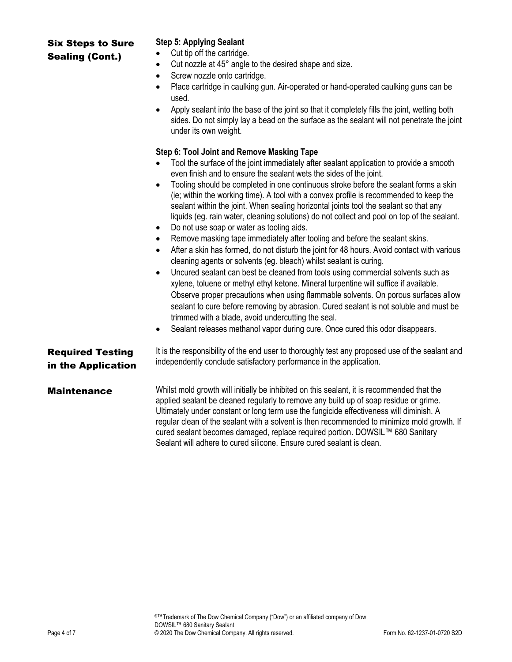# Six Steps to Sure Sealing (Cont.)

### **Step 5: Applying Sealant**

- Cut tip off the cartridge.
- Cut nozzle at 45° angle to the desired shape and size.
- Screw nozzle onto cartridge.
- Place cartridge in caulking gun. Air-operated or hand-operated caulking guns can be used.
- Apply sealant into the base of the joint so that it completely fills the joint, wetting both sides. Do not simply lay a bead on the surface as the sealant will not penetrate the joint under its own weight.

### **Step 6: Tool Joint and Remove Masking Tape**

- Tool the surface of the joint immediately after sealant application to provide a smooth even finish and to ensure the sealant wets the sides of the joint.
- Tooling should be completed in one continuous stroke before the sealant forms a skin (ie; within the working time). A tool with a convex profile is recommended to keep the sealant within the joint. When sealing horizontal joints tool the sealant so that any liquids (eg. rain water, cleaning solutions) do not collect and pool on top of the sealant.
- Do not use soap or water as tooling aids.
- Remove masking tape immediately after tooling and before the sealant skins.
- After a skin has formed, do not disturb the joint for 48 hours. Avoid contact with various cleaning agents or solvents (eg. bleach) whilst sealant is curing.
- Uncured sealant can best be cleaned from tools using commercial solvents such as xylene, toluene or methyl ethyl ketone. Mineral turpentine will suffice if available. Observe proper precautions when using flammable solvents. On porous surfaces allow sealant to cure before removing by abrasion. Cured sealant is not soluble and must be trimmed with a blade, avoid undercutting the seal.
- Sealant releases methanol vapor during cure. Once cured this odor disappears.

# Required Testing in the Application

It is the responsibility of the end user to thoroughly test any proposed use of the sealant and independently conclude satisfactory performance in the application.

**Maintenance** Whilst mold growth will initially be inhibited on this sealant, it is recommended that the applied sealant be cleaned regularly to remove any build up of soap residue or grime. Ultimately under constant or long term use the fungicide effectiveness will diminish. A regular clean of the sealant with a solvent is then recommended to minimize mold growth. If cured sealant becomes damaged, replace required portion. DOWSIL™ 680 Sanitary Sealant will adhere to cured silicone. Ensure cured sealant is clean.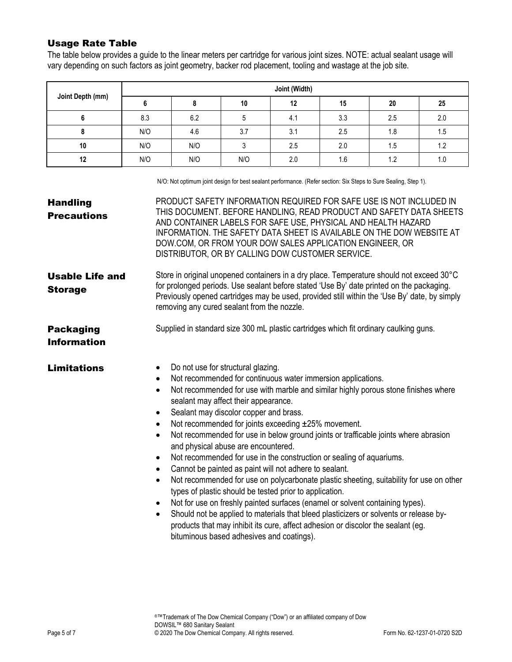# Usage Rate Table

The table below provides a guide to the linear meters per cartridge for various joint sizes. NOTE: actual sealant usage will vary depending on such factors as joint geometry, backer rod placement, tooling and wastage at the job site.

| Joint Depth (mm) | Joint (Width) |     |     |     |     |     |     |
|------------------|---------------|-----|-----|-----|-----|-----|-----|
|                  |               |     | 10  | 12  | 15  | 20  | 25  |
| o                | 8.3           | 6.2 |     | 4.1 | 3.3 | 2.5 | 2.0 |
| o                | N/O           | 4.6 | 3.7 | 3.1 | 2.5 | 1.8 | 1.5 |
| 10               | N/O           | N/O |     | 2.5 | 2.0 | 1.5 | 1.2 |
| 12               | N/O           | N/O | N/O | 2.0 | 1.6 | 1.2 | 1.0 |

N/O: Not optimum joint design for best sealant performance. (Refer section: Six Steps to Sure Sealing, Step 1).

| <b>Handling</b><br><b>Precautions</b>    | PRODUCT SAFETY INFORMATION REQUIRED FOR SAFE USE IS NOT INCLUDED IN<br>THIS DOCUMENT. BEFORE HANDLING, READ PRODUCT AND SAFETY DATA SHEETS<br>AND CONTAINER LABELS FOR SAFE USE, PHYSICAL AND HEALTH HAZARD<br>INFORMATION. THE SAFETY DATA SHEET IS AVAILABLE ON THE DOW WEBSITE AT<br>DOW.COM, OR FROM YOUR DOW SALES APPLICATION ENGINEER, OR<br>DISTRIBUTOR, OR BY CALLING DOW CUSTOMER SERVICE.                                                                                                                                                                                                                                                                                                                                                                                                                                                                                                                                                                                                                                                                                                                                                                                                              |  |  |  |  |
|------------------------------------------|-------------------------------------------------------------------------------------------------------------------------------------------------------------------------------------------------------------------------------------------------------------------------------------------------------------------------------------------------------------------------------------------------------------------------------------------------------------------------------------------------------------------------------------------------------------------------------------------------------------------------------------------------------------------------------------------------------------------------------------------------------------------------------------------------------------------------------------------------------------------------------------------------------------------------------------------------------------------------------------------------------------------------------------------------------------------------------------------------------------------------------------------------------------------------------------------------------------------|--|--|--|--|
| <b>Usable Life and</b><br><b>Storage</b> | Store in original unopened containers in a dry place. Temperature should not exceed 30°C<br>for prolonged periods. Use sealant before stated 'Use By' date printed on the packaging.<br>Previously opened cartridges may be used, provided still within the 'Use By' date, by simply<br>removing any cured sealant from the nozzle.                                                                                                                                                                                                                                                                                                                                                                                                                                                                                                                                                                                                                                                                                                                                                                                                                                                                               |  |  |  |  |
| <b>Packaging</b><br><b>Information</b>   | Supplied in standard size 300 mL plastic cartridges which fit ordinary caulking guns.                                                                                                                                                                                                                                                                                                                                                                                                                                                                                                                                                                                                                                                                                                                                                                                                                                                                                                                                                                                                                                                                                                                             |  |  |  |  |
| <b>Limitations</b>                       | Do not use for structural glazing.<br>$\bullet$<br>Not recommended for continuous water immersion applications.<br>$\bullet$<br>Not recommended for use with marble and similar highly porous stone finishes where<br>$\bullet$<br>sealant may affect their appearance.<br>Sealant may discolor copper and brass.<br>$\bullet$<br>Not recommended for joints exceeding ±25% movement.<br>$\bullet$<br>Not recommended for use in below ground joints or trafficable joints where abrasion<br>$\bullet$<br>and physical abuse are encountered.<br>Not recommended for use in the construction or sealing of aquariums.<br>$\bullet$<br>Cannot be painted as paint will not adhere to sealant.<br>$\bullet$<br>Not recommended for use on polycarbonate plastic sheeting, suitability for use on other<br>$\bullet$<br>types of plastic should be tested prior to application.<br>Not for use on freshly painted surfaces (enamel or solvent containing types).<br>$\bullet$<br>Should not be applied to materials that bleed plasticizers or solvents or release by-<br>$\bullet$<br>products that may inhibit its cure, affect adhesion or discolor the sealant (eg.<br>bituminous based adhesives and coatings). |  |  |  |  |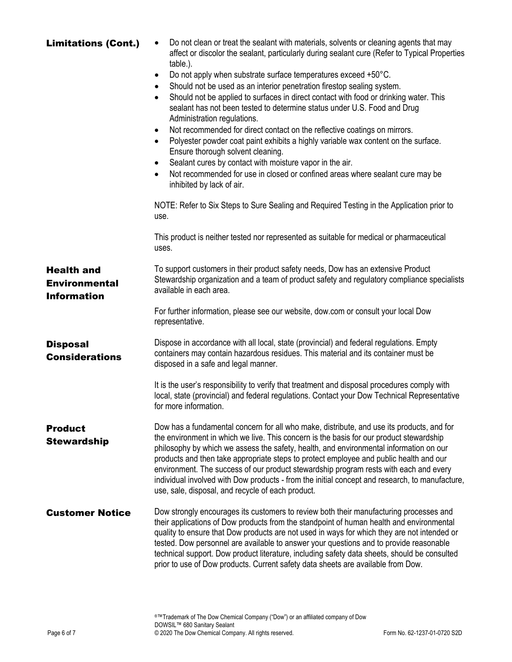| <b>Limitations (Cont.)</b>                                      | Do not clean or treat the sealant with materials, solvents or cleaning agents that may<br>affect or discolor the sealant, particularly during sealant cure (Refer to Typical Properties<br>table.).<br>Do not apply when substrate surface temperatures exceed +50°C.<br>$\bullet$<br>Should not be used as an interior penetration firestop sealing system.<br>$\bullet$<br>Should not be applied to surfaces in direct contact with food or drinking water. This<br>$\bullet$<br>sealant has not been tested to determine status under U.S. Food and Drug<br>Administration regulations.<br>Not recommended for direct contact on the reflective coatings on mirrors.<br>$\bullet$<br>Polyester powder coat paint exhibits a highly variable wax content on the surface.<br>$\bullet$<br>Ensure thorough solvent cleaning.<br>Sealant cures by contact with moisture vapor in the air.<br>Not recommended for use in closed or confined areas where sealant cure may be<br>$\bullet$<br>inhibited by lack of air. |
|-----------------------------------------------------------------|---------------------------------------------------------------------------------------------------------------------------------------------------------------------------------------------------------------------------------------------------------------------------------------------------------------------------------------------------------------------------------------------------------------------------------------------------------------------------------------------------------------------------------------------------------------------------------------------------------------------------------------------------------------------------------------------------------------------------------------------------------------------------------------------------------------------------------------------------------------------------------------------------------------------------------------------------------------------------------------------------------------------|
|                                                                 | NOTE: Refer to Six Steps to Sure Sealing and Required Testing in the Application prior to<br>use.                                                                                                                                                                                                                                                                                                                                                                                                                                                                                                                                                                                                                                                                                                                                                                                                                                                                                                                   |
|                                                                 | This product is neither tested nor represented as suitable for medical or pharmaceutical<br>uses.                                                                                                                                                                                                                                                                                                                                                                                                                                                                                                                                                                                                                                                                                                                                                                                                                                                                                                                   |
| <b>Health and</b><br><b>Environmental</b><br><b>Information</b> | To support customers in their product safety needs, Dow has an extensive Product<br>Stewardship organization and a team of product safety and regulatory compliance specialists<br>available in each area.                                                                                                                                                                                                                                                                                                                                                                                                                                                                                                                                                                                                                                                                                                                                                                                                          |
|                                                                 | For further information, please see our website, dow.com or consult your local Dow<br>representative.                                                                                                                                                                                                                                                                                                                                                                                                                                                                                                                                                                                                                                                                                                                                                                                                                                                                                                               |
| <b>Disposal</b><br><b>Considerations</b>                        | Dispose in accordance with all local, state (provincial) and federal regulations. Empty<br>containers may contain hazardous residues. This material and its container must be<br>disposed in a safe and legal manner.                                                                                                                                                                                                                                                                                                                                                                                                                                                                                                                                                                                                                                                                                                                                                                                               |
|                                                                 | It is the user's responsibility to verify that treatment and disposal procedures comply with<br>local, state (provincial) and federal regulations. Contact your Dow Technical Representative<br>for more information.                                                                                                                                                                                                                                                                                                                                                                                                                                                                                                                                                                                                                                                                                                                                                                                               |
| <b>Product</b><br><b>Stewardship</b>                            | Dow has a fundamental concern for all who make, distribute, and use its products, and for<br>the environment in which we live. This concern is the basis for our product stewardship<br>philosophy by which we assess the safety, health, and environmental information on our<br>products and then take appropriate steps to protect employee and public health and our<br>environment. The success of our product stewardship program rests with each and every<br>individual involved with Dow products - from the initial concept and research, to manufacture,<br>use, sale, disposal, and recycle of each product.                                                                                                                                                                                                                                                                                                                                                                                            |
| <b>Customer Notice</b>                                          | Dow strongly encourages its customers to review both their manufacturing processes and<br>their applications of Dow products from the standpoint of human health and environmental<br>quality to ensure that Dow products are not used in ways for which they are not intended or<br>tested. Dow personnel are available to answer your questions and to provide reasonable<br>technical support. Dow product literature, including safety data sheets, should be consulted<br>prior to use of Dow products. Current safety data sheets are available from Dow.                                                                                                                                                                                                                                                                                                                                                                                                                                                     |